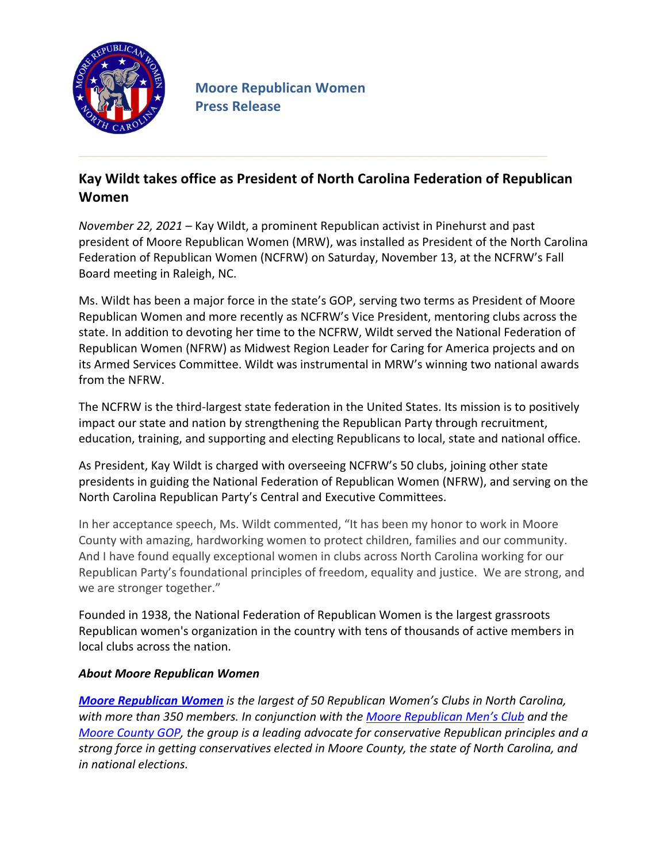

## Kay Wildt takes office as President of North Carolina Federation of Republican **Women**

*November 22, 2021* – Kay Wildt, a prominent Republican activist in Pinehurst and past president of Moore Republican Women (MRW), was installed as President of the North Carolina Federation of Republican Women (NCFRW) on Saturday, November 13, at the NCFRW's Fall Board meeting in Raleigh, NC.

Ms. Wildt has been a major force in the state's GOP, serving two terms as President of Moore Republican Women and more recently as NCFRW's Vice President, mentoring clubs across the state. In addition to devoting her time to the NCFRW, Wildt served the National Federation of Republican Women (NFRW) as Midwest Region Leader for Caring for America projects and on its Armed Services Committee. Wildt was instrumental in MRW's winning two national awards from the NFRW.

The NCFRW is the third-largest state federation in the United States. Its mission is to positively impact our state and nation by strengthening the Republican Party through recruitment, education, training, and supporting and electing Republicans to local, state and national office.

As President, Kay Wildt is charged with overseeing NCFRW's 50 clubs, joining other state presidents in guiding the National Federation of Republican Women (NFRW), and serving on the North Carolina Republican Party's Central and Executive Committees.

In her acceptance speech, Ms. Wildt commented, "It has been my honor to work in Moore County with amazing, hardworking women to protect children, families and our community. And I have found equally exceptional women in clubs across North Carolina working for our Republican Party's foundational principles of freedom, equality and justice. We are strong, and we are stronger together."

Founded in 1938, the National Federation of Republican Women is the largest grassroots Republican women's organization in the country with tens of thousands of active members in local clubs across the nation.

## **About Moore Republican Women**

**Moore Republican Women** is the largest of 50 Republican Women's Clubs in North Carolina, with more than 350 members. In conjunction with the Moore Republican Men's Club and the *Moore County GOP, the group is a leading advocate for conservative Republican principles and a* strong force in getting conservatives elected in Moore County, the state of North Carolina, and *in national elections.*